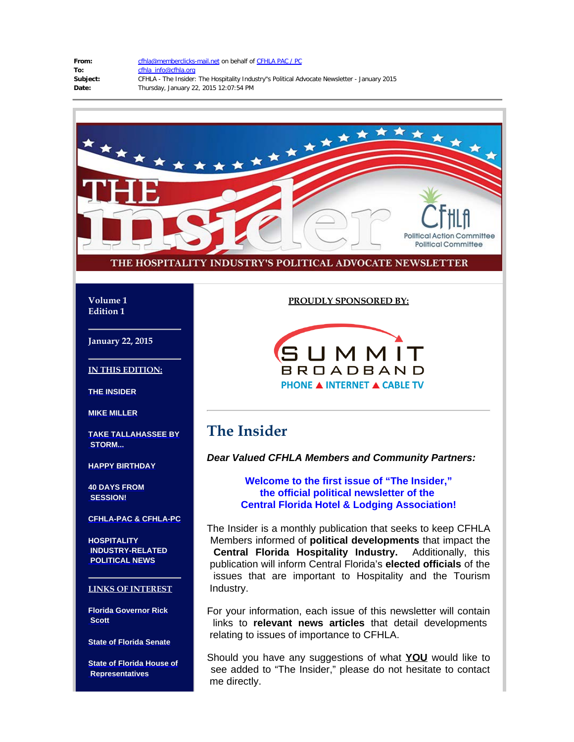| From:    | cfhla |
|----------|-------|
| ۲o:      | cfhla |
| Subject: | CFHI  |
| ·ateد    | Thur  |

**@memberclicks-mail.net on behalf of [CFHLA PAC / PC](mailto:cfhla@memberclicks-mail.net) To:** [cfhla\\_info@cfhla.org](mailto:cfhla_info@cfhla.org) LA - The Insider: The Hospitality Industry"s Political Advocate Newsletter - January 2015 **Date:** Thursday, January 22, 2015 12:07:54 PM



#### **Volume 1 Edition 1**

**January 22, 2015**

**IN THIS EDITION:**

**[THE INSIDER](#page-0-0)**

**[MIKE MILLER](#page-1-0)**

<span id="page-0-0"></span>**[TAKE TALLAHASSEE BY](#page-1-1)  [STORM...](#page-1-1)**

**[HAPPY BIRTHDAY](#page-3-0)**

**[40 DAYS FROM](#page-3-1)  [SESSION!](#page-3-1)**

**[CFHLA-PAC & CFHLA-PC](#page-3-2)**

**[HOSPITALITY](#page-4-0)  [INDUSTRY-RELATED](#page-4-0)  [POLITICAL NEWS](#page-4-0)**

### **LINKS OF INTEREST**

**[Florida Governor Rick](http://www.flgov.com/)  [Scott](http://www.flgov.com/)**

**[State of Florida Senate](http://www.flsenate.gov/)**

**[State of Florida House of](http://www.myfloridahouse.gov/default.aspx)  [Representatives](http://www.myfloridahouse.gov/default.aspx)**

### **PROUDLY SPONSORED BY:**



# **The Insider**

*Dear Valued CFHLA Members and Community Partners:*

### **Welcome to the first issue of "The Insider," the official political newsletter of the Central Florida Hotel & Lodging Association!**

The Insider is a monthly publication that seeks to keep CFHLA Members informed of **political developments** that impact the **Central Florida Hospitality Industry.** Additionally, this publication will inform Central Florida's **elected officials** of the issues that are important to Hospitality and the Tourism Industry.

For your information, each issue of this newsletter will contain links to **relevant news articles** that detail developments relating to issues of importance to CFHLA.

Should you have any suggestions of what **YOU** would like to see added to "The Insider," please do not hesitate to contact me directly.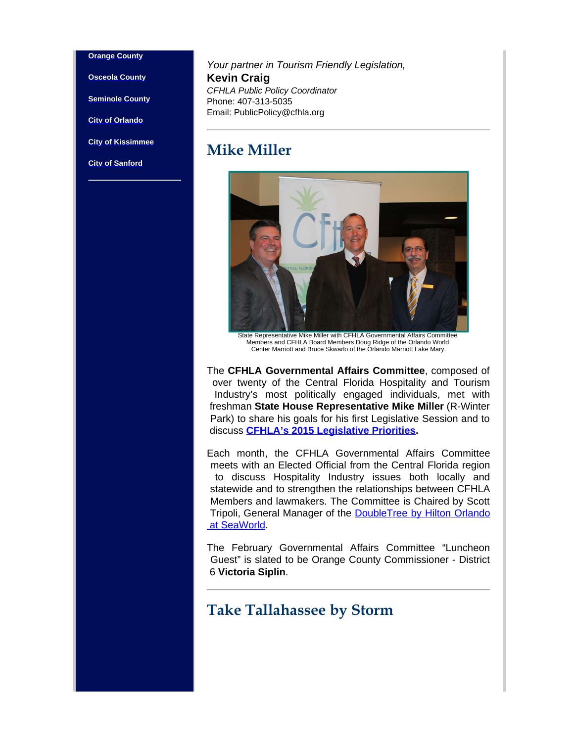#### **[Orange County](http://www.orangecountyfl.net/)**

**[Osceola County](http://www.osceola.org/)**

**[Seminole County](http://www.seminolecountyfl.gov/index.aspx)**

**[City of Orlando](http://www.ci.orlando.fl.us/)**

<span id="page-1-0"></span>**[City of Kissimmee](http://www.kissimmee.org/)**

**[City of Sanford](http://www.sanfordfl.gov/index.aspx?page=1)**

*Your partner in Tourism Friendly Legislation,* **Kevin Craig** *CFHLA Public Policy Coordinator* Phone: 407-313-5035 Email: PublicPolicy@cfhla.org

### **Mike Miller**



Members and CFHLA Board Members Doug Ridge of the Orlando World Center Marriott and Bruce Skwarlo of the Orlando Marriott Lake Mary.

The **CFHLA Governmental Affairs Committee**, composed of over twenty of the Central Florida Hospitality and Tourism Industry's most politically engaged individuals, met with freshman **State House Representative Mike Miller** (R-Winter Park) to share his goals for his first Legislative Session and to discuss **[CFHLA's 2015 Legislative Priorities](https://cfhla.memberclicks.net/assets/PDF.Files/2015%20legislative%20priorities%20board-approved.pdf?mcid_token=8eb209d3-97f2-4c63-9c47-2c4c863b55c0).**

Each month, the CFHLA Governmental Affairs Committee meets with an Elected Official from the Central Florida region to discuss Hospitality Industry issues both locally and statewide and to strengthen the relationships between CFHLA Members and lawmakers. The Committee is Chaired by Scott Tripoli, General Manager of the [DoubleTree by Hilton Orlando](http://www.doubletreeorlandoseaworld.com/)  [at SeaWorld](http://www.doubletreeorlandoseaworld.com/).

The February Governmental Affairs Committee "Luncheon Guest" is slated to be Orange County Commissioner - District 6 **Victoria Siplin**.

### <span id="page-1-1"></span>**Take Tallahassee by Storm**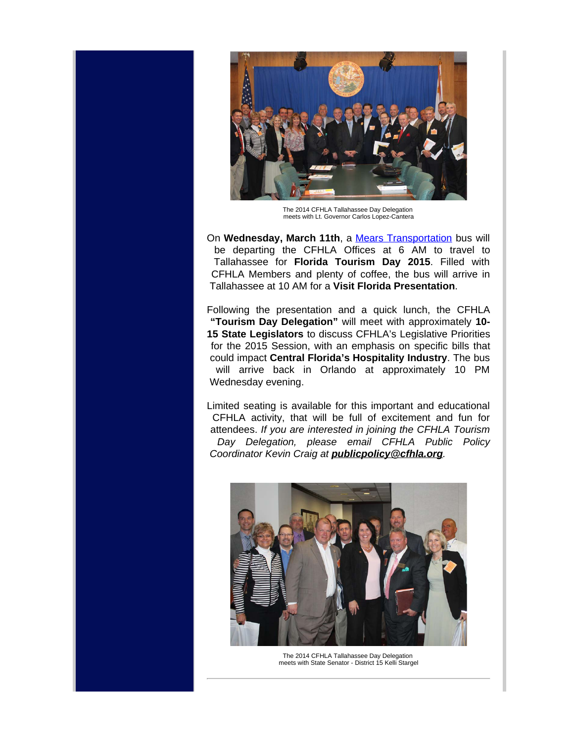

The 2014 CFHLA Tallahassee Day Delegation meets with Lt. Governor Carlos Lopez-Cantera

On Wednesday, March 11th, a [Mears Transportation](http://www.mearstransportation.com/) bus will be departing the CFHLA Offices at 6 AM to travel to Tallahassee for **Florida Tourism Day 2015**. Filled with CFHLA Members and plenty of coffee, the bus will arrive in Tallahassee at 10 AM for a **Visit Florida Presentation**.

Following the presentation and a quick lunch, the CFHLA **"Tourism Day Delegation"** will meet with approximately **10- 15 State Legislators** to discuss CFHLA's Legislative Priorities for the 2015 Session, with an emphasis on specific bills that could impact **Central Florida's Hospitality Industry**. The bus will arrive back in Orlando at approximately 10 PM Wednesday evening.

Limited seating is available for this important and educational CFHLA activity, that will be full of excitement and fun for attendees. *If you are interested in joining the CFHLA Tourism Day Delegation, please email CFHLA Public Policy Coordinator Kevin Craig at publicpolicy@cfhla.org.*



The 2014 CFHLA Tallahassee Day Delegation meets with State Senator - District 15 Kelli Stargel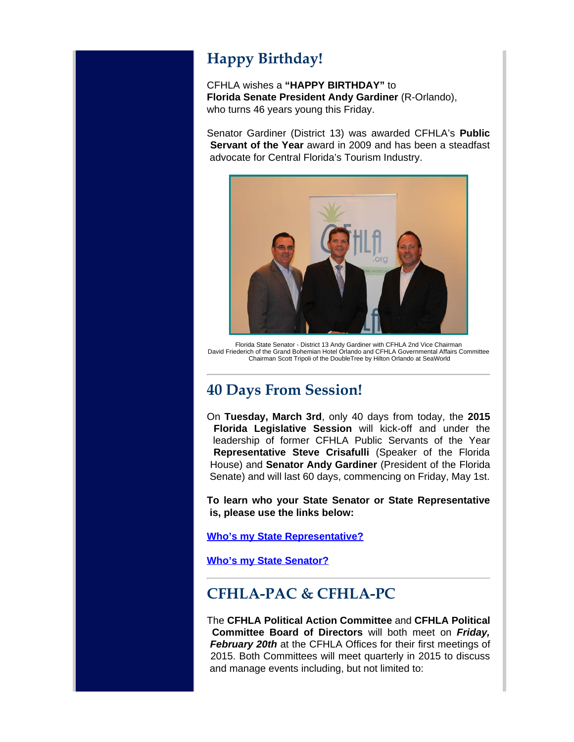# <span id="page-3-0"></span>**Happy Birthday!**

CFHLA wishes a **"HAPPY BIRTHDAY"** to **Florida Senate President Andy Gardiner** (R-Orlando), who turns 46 years young this Friday.

Senator Gardiner (District 13) was awarded CFHLA's **Public Servant of the Year** award in 2009 and has been a steadfast advocate for Central Florida's Tourism Industry.



Florida State Senator - District 13 Andy Gardiner with CFHLA 2nd Vice Chairman David Friederich of the Grand Bohemian Hotel Orlando and CFHLA Governmental Affairs Committee Chairman Scott Tripoli of the DoubleTree by Hilton Orlando at SeaWorld

## <span id="page-3-1"></span>**40 Days From Session!**

On **Tuesday, March 3rd**, only 40 days from today, the **2015 Florida Legislative Session** will kick-off and under the leadership of former CFHLA Public Servants of the Year **Representative Steve Crisafulli** (Speaker of the Florida House) and **Senator Andy Gardiner** (President of the Florida Senate) and will last 60 days, commencing on Friday, May 1st.

**To learn who your State Senator or State Representative is, please use the links below:**

**[Who's my State Representative?](http://www.myfloridahouse.gov/sections/representatives/myrepresentative.aspx)**

**[Who's my State Senator?](http://www.flsenate.gov/Senators/Find)**

# <span id="page-3-2"></span>**CFHLA-PAC & CFHLA-PC**

The **CFHLA Political Action Committee** and **CFHLA Political Committee Board of Directors** will both meet on *Friday, February 20th* at the CFHLA Offices for their first meetings of 2015. Both Committees will meet quarterly in 2015 to discuss and manage events including, but not limited to: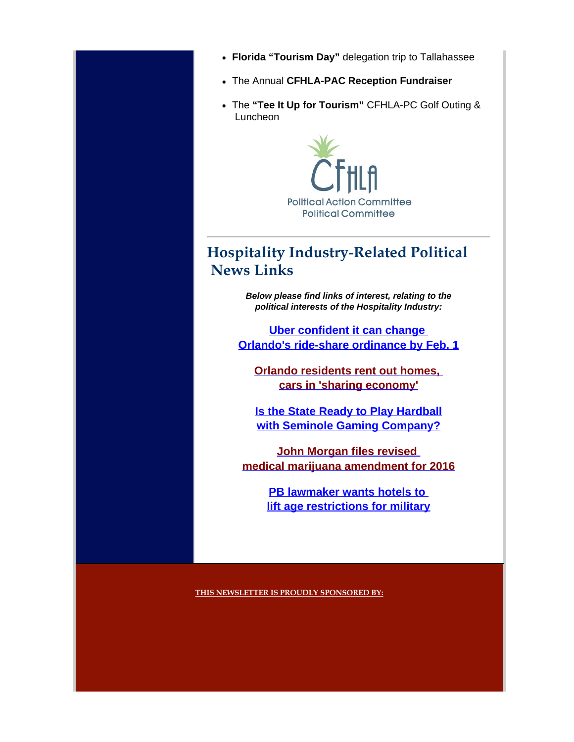- **Florida "Tourism Day"** delegation trip to Tallahassee
- The Annual **CFHLA-PAC Reception Fundraiser**
- The **"Tee It Up for Tourism"** CFHLA-PC Golf Outing & Luncheon



# <span id="page-4-0"></span>**Hospitality Industry-Related Political News Links**

*Below please find links of interest, relating to the political interests of the Hospitality Industry:*

**[Uber confident it can change](http://www.bizjournals.com/orlando/news/2015/01/16/uber-confident-it-can-change-orlandos-ride.html?page=all)  [Orlando's ride-share ordinance by Feb. 1](http://www.bizjournals.com/orlando/news/2015/01/16/uber-confident-it-can-change-orlandos-ride.html?page=all)**

**[Orlando residents rent out homes,](http://www.orlandosentinel.com/news/orange/os-sharing-economy-orlando-20150103-story.html#page=1)  [cars in 'sharing economy'](http://www.orlandosentinel.com/news/orange/os-sharing-economy-orlando-20150103-story.html#page=1)**

**[Is the State Ready to Play Hardball](http://www.sunshinestatenews.com/story/could-rick-scott-be-ready-play-hardball-seminole-gaming-compact) [with Seminole Gaming Company?](http://www.sunshinestatenews.com/story/could-rick-scott-be-ready-play-hardball-seminole-gaming-compact)**

**[John Morgan files revised](http://miamiherald.typepad.com/nakedpolitics/2015/01/john-morgan-files-revised-medical-marijuana-amendment-.html)  [medical marijuana amendment for 2016](http://miamiherald.typepad.com/nakedpolitics/2015/01/john-morgan-files-revised-medical-marijuana-amendment-.html)**

> **PB lawmaker wants hotels to [lift age restrictions for military](http://www.sun-sentinel.com/news/palm-beach/headlines/fl-hotel-military-age-restrictions-20150115-story.html)**

**THIS NEWSLETTER IS PROUDLY SPONSORED BY:**